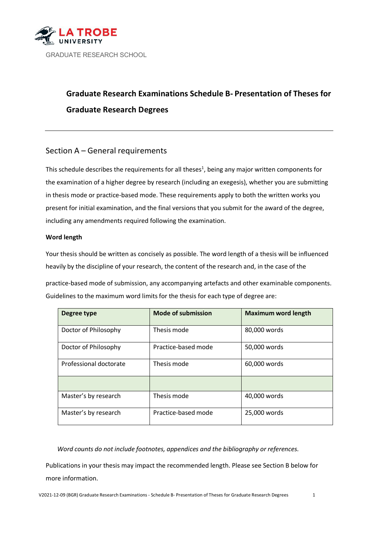

# **Graduate Research Examinations Schedule B- Presentation of Theses for Graduate Research Degrees**

# Section A – General requirements

This schedule describes the requirements for all theses<sup>1</sup>[, b](#page-1-0)eing any major written components for the examination of a higher degree by research (including an exegesis), whether you are submitting in thesis mode or practice-based mode. These requirements apply to both the written works you present for initial examination, and the final versions that you submit for the award of the degree, including any amendments required following the examination.

# **Word length**

Your thesis should be written as concisely as possible. The word length of a thesis will be influenced heavily by the discipline of your research, the content of the research and, in the case of the

practice-based mode of submission, any accompanying artefacts and other examinable components. Guidelines to the maximum word limits for the thesis for each type of degree are:

| Degree type            | <b>Mode of submission</b> | <b>Maximum word length</b> |
|------------------------|---------------------------|----------------------------|
| Doctor of Philosophy   | Thesis mode               | 80,000 words               |
| Doctor of Philosophy   | Practice-based mode       | 50,000 words               |
| Professional doctorate | Thesis mode               | 60,000 words               |
|                        |                           |                            |
| Master's by research   | Thesis mode               | 40,000 words               |
| Master's by research   | Practice-based mode       | 25,000 words               |

*Word counts do not include footnotes, appendices and the bibliography or references.*

Publications in your thesis may impact the recommended length. Please see Section B below for more information.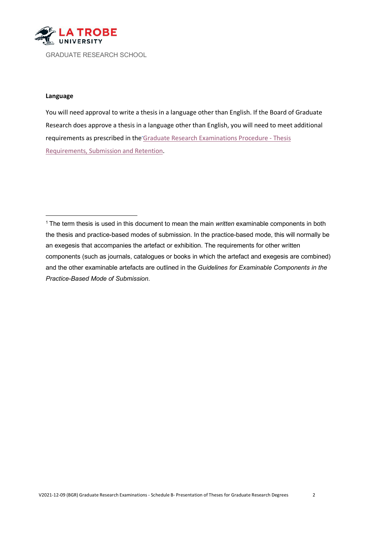**LA TROBE** 

GRADUATE RESEARCH SCHOOL

#### **Language**

You will need approval to write a thesis in a language other than English. If the Board of Graduate Research does approve a thesis in a language other than English, you will need to meet additional requirements as prescribed in the [Graduate Research Examinations Procedure -](https://policies.latrobe.edu.au/document/view.php?id=121) Thesis [Requirements,](https://policies.latrobe.edu.au/document/view.php?id=121) Submission and Retention.

<span id="page-1-0"></span>1 The term thesis is used in this document to mean the main *written* examinable components in both the thesis and practice-based modes of submission. In the practice-based mode, this will normally be an exegesis that accompanies the artefact or exhibition. The requirements for other written components (such as journals, catalogues or books in which the artefact and exegesis are combined) and the other examinable artefacts are outlined in the *Guidelines for Examinable Components in the Practice-Based Mode of Submission*.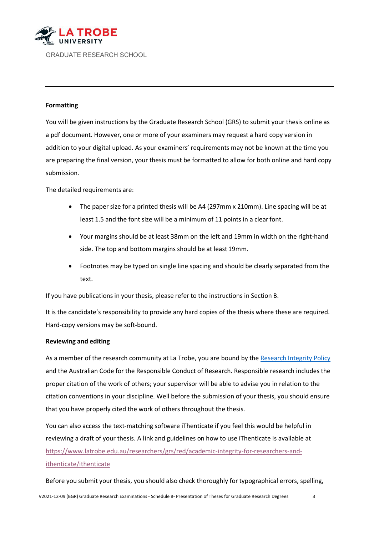

# **Formatting**

You will be given instructions by the Graduate Research School (GRS) to submit your thesis online as a pdf document. However, one or more of your examiners may request a hard copy version in addition to your digital upload. As your examiners' requirements may not be known at the time you are preparing the final version, your thesis must be formatted to allow for both online and hard copy submission.

The detailed requirements are:

- The paper size for a printed thesis will be A4 (297mm x 210mm). Line spacing will be at least 1.5 and the font size will be a minimum of 11 points in a clear font.
- Your margins should be at least 38mm on the left and 19mm in width on the right-hand side. The top and bottom margins should be at least 19mm.
- Footnotes may be typed on single line spacing and should be clearly separated from the text.

If you have publications in your thesis, please refer to the instructions in Section B.

It is the candidate's responsibility to provide any hard copies of the thesis where these are required. Hard-copy versions may be soft-bound.

#### **Reviewing and editing**

As a member of the research community at La Trobe, you are bound by the [Research Integrity Policy](https://policies.latrobe.edu.au/document/view.php?id=107) and the Australian Code for the Responsible Conduct of Research. Responsible research includes the proper citation of the work of others; your supervisor will be able to advise you in relation to the citation conventions in your discipline. Well before the submission of your thesis, you should ensure that you have properly cited the work of others throughout the thesis.

You can also access the text-matching software iThenticate if you feel this would be helpful in reviewing a draft of your thesis. A link and guidelines on how to use iThenticate is available at [https://www.latrobe.edu.au/researchers/grs/red/academic-integrity-for-researchers-and](https://www.latrobe.edu.au/researchers/grs/red/academic-integrity-for-researchers-and-ithenticate/ithenticate)[ithenticate/ithenticate](https://www.latrobe.edu.au/researchers/grs/red/academic-integrity-for-researchers-and-ithenticate/ithenticate)

Before you submit your thesis, you should also check thoroughly for typographical errors, spelling,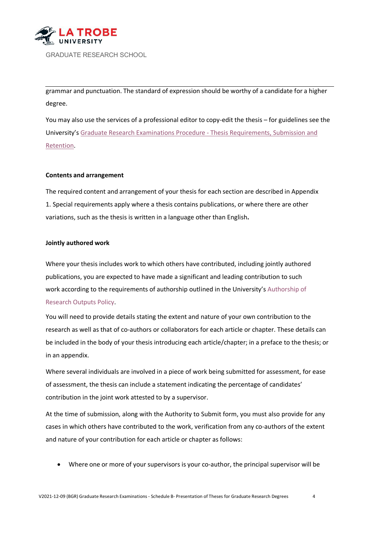

grammar and punctuation. The standard of expression should be worthy of a candidate for a higher degree.

You may also use the services of a professional editor to copy-edit the thesis – for guidelines see the University'[s Graduate Research Examinations Procedure -](https://policies.latrobe.edu.au/document/view.php?id=121) Thesis Requirements, Submission and [Retention.](https://policies.latrobe.edu.au/document/view.php?id=121)

#### **Contents and arrangement**

The required content and arrangement of your thesis for each section are described in Appendix 1. Special requirements apply where a thesis contains publications, or where there are other variations, such as the thesis is written in a language other than English**.**

#### **Jointly authored work**

Where your thesis includes work to which others have contributed, including jointly authored publications, you are expected to have made a significant and leading contribution to such work according to the requirements of authorship outlined in the University's [Authorship of](https://policies.latrobe.edu.au/document/view.php?id=105) [Research](https://policies.latrobe.edu.au/document/view.php?id=105) Outputs Policy.

You will need to provide details stating the extent and nature of your own contribution to the research as well as that of co-authors or collaborators for each article or chapter. These details can be included in the body of your thesis introducing each article/chapter; in a preface to the thesis; or in an appendix.

Where several individuals are involved in a piece of work being submitted for assessment, for ease of assessment, the thesis can include a statement indicating the percentage of candidates' contribution in the joint work attested to by a supervisor.

At the time of submission, along with the Authority to Submit form, you must also provide for any cases in which others have contributed to the work, verification from any co-authors of the extent and nature of your contribution for each article or chapter as follows:

• Where one or more of your supervisors is your co-author, the principal supervisor will be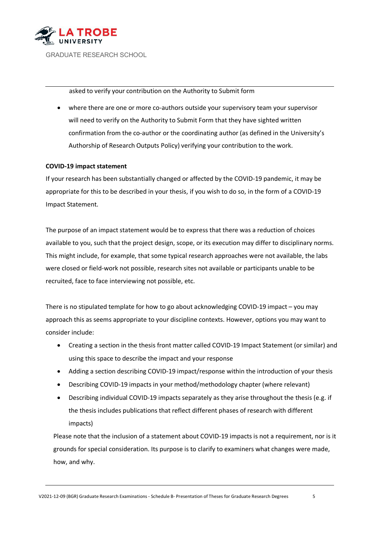

asked to verify your contribution on the Authority to Submit form

• where there are one or more co-authors outside your supervisory team your supervisor will need to verify on the Authority to Submit Form that they have sighted written confirmation from the co-author or the coordinating author (as defined in the University's Authorship of Research Outputs Policy) verifying your contribution to the work.

# **COVID-19 impact statement**

If your research has been substantially changed or affected by the COVID-19 pandemic, it may be appropriate for this to be described in your thesis, if you wish to do so, in the form of a COVID-19 Impact Statement.

The purpose of an impact statement would be to express that there was a reduction of choices available to you, such that the project design, scope, or its execution may differ to disciplinary norms. This might include, for example, that some typical research approaches were not available, the labs were closed or field-work not possible, research sites not available or participants unable to be recruited, face to face interviewing not possible, etc.

There is no stipulated template for how to go about acknowledging COVID-19 impact – you may approach this as seems appropriate to your discipline contexts. However, options you may want to consider include:

- Creating a section in the thesis front matter called COVID-19 Impact Statement (or similar) and using this space to describe the impact and your response
- Adding a section describing COVID-19 impact/response within the introduction of your thesis
- Describing COVID-19 impacts in your method/methodology chapter (where relevant)
- Describing individual COVID-19 impacts separately as they arise throughout the thesis (e.g. if the thesis includes publications that reflect different phases of research with different impacts)

Please note that the inclusion of a statement about COVID-19 impacts is not a requirement, nor is it grounds for special consideration. Its purpose is to clarify to examiners what changes were made, how, and why.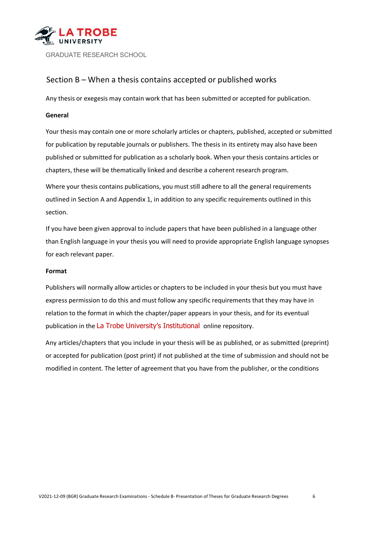

# Section B – When a thesis contains accepted or published works

Any thesis or exegesis may contain work that has been submitted or accepted for publication.

# **General**

Your thesis may contain one or more scholarly articles or chapters, published, accepted or submitted for publication by reputable journals or publishers. The thesis in its entirety may also have been published or submitted for publication as a scholarly book. When your thesis contains articles or chapters, these will be thematically linked and describe a coherent research program.

Where your thesis contains publications, you must still adhere to all the general requirements outlined in Section A and Appendix 1, in addition to any specific requirements outlined in this section.

If you have been given approval to include papers that have been published in a language other than English language in your thesis you will need to provide appropriate English language synopses for each relevant paper.

#### **Format**

Publishers will normally allow articles or chapters to be included in your thesis but you must have express permission to do this and must follow any specific requirements that they may have in relation to the format in which the chapter/paper appears in your thesis, and for its eventual publication in the La Trobe University's Institutional online repository.

Any articles/chapters that you include in your thesis will be as published, or as submitted (preprint) or accepted for publication (post print) if not published at the time of submission and should not be modified in content. The letter of agreement that you have from the publisher, or the conditions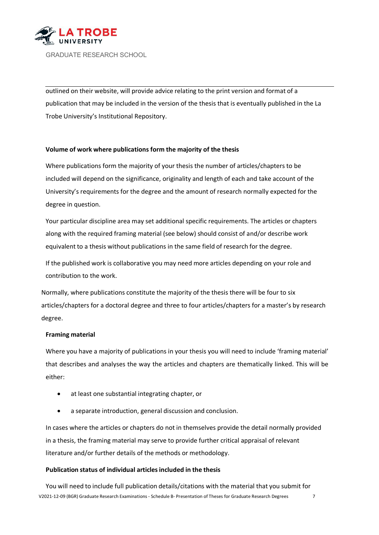

outlined on their website, will provide advice relating to the print version and format of a publication that may be included in the version of the thesis that is eventually published in the La Trobe University's Institutional Repository.

# **Volume of work where publications form the majority of the thesis**

Where publications form the majority of your thesis the number of articles/chapters to be included will depend on the significance, originality and length of each and take account of the University's requirements for the degree and the amount of research normally expected for the degree in question.

Your particular discipline area may set additional specific requirements. The articles or chapters along with the required framing material (see below) should consist of and/or describe work equivalent to a thesis without publications in the same field of research for the degree.

If the published work is collaborative you may need more articles depending on your role and contribution to the work.

Normally, where publications constitute the majority of the thesis there will be four to six articles/chapters for a doctoral degree and three to four articles/chapters for a master's by research degree.

# **Framing material**

Where you have a majority of publications in your thesis you will need to include 'framing material' that describes and analyses the way the articles and chapters are thematically linked. This will be either:

- at least one substantial integrating chapter, or
- a separate introduction, general discussion and conclusion.

In cases where the articles or chapters do not in themselves provide the detail normally provided in a thesis, the framing material may serve to provide further critical appraisal of relevant literature and/or further details of the methods or methodology.

# **Publication status of individual articlesincluded in the thesis**

V2021-12-09 (BGR) Graduate Research Examinations - Schedule B- Presentation of Theses for Graduate Research Degrees 7 You will need to include full publication details/citations with the material that you submit for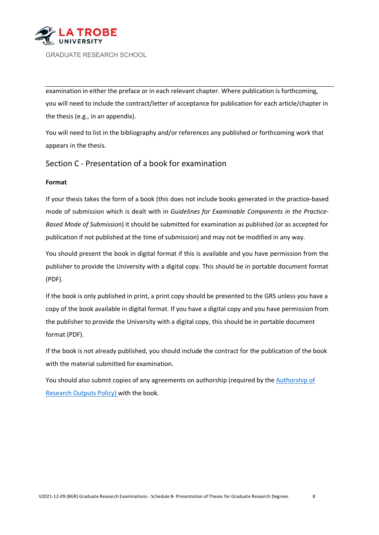

examination in either the preface or in each relevant chapter. Where publication is forthcoming, you will need to include the contract/letter of acceptance for publication for each article/chapter in the thesis (e.g., in an appendix).

You will need to list in the bibliography and/or references any published or forthcoming work that appears in the thesis.

# Section C - Presentation of a book for examination

#### **Format**

If your thesis takes the form of a book (this does not include books generated in the practice-based mode of submission which is dealt with in *Guidelines for Examinable Components in the Practice-Based Mode of Submission*) it should be submitted for examination as published (or as accepted for publication if not published at the time of submission) and may not be modified in any way.

You should present the book in digital format if this is available and you have permission from the publisher to provide the University with a digital copy. This should be in portable document format (PDF).

If the book is only published in print, a print copy should be presented to the GRS unless you have a copy of the book available in digital format. If you have a digital copy and you have permission from the publisher to provide the University with a digital copy, this should be in portable document format (PDF).

If the book is not already published, you should include the contract for the publication of the book with the material submitted for examination.

You should also submit copies of any agreements on authorship (required by the [Authorship of](https://policies.latrobe.edu.au/document/view.php?id=105) [Research](https://policies.latrobe.edu.au/document/view.php?id=105) Outputs Policy) with the book.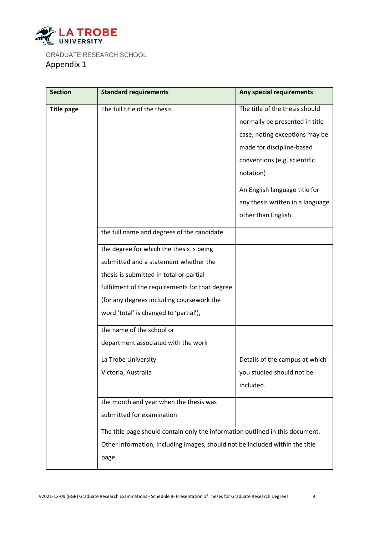

GRADUATE RESEARCH SCHOOL Appendix 1

| <b>Section</b>    | <b>Standard requirements</b>                                                  | Any special requirements         |
|-------------------|-------------------------------------------------------------------------------|----------------------------------|
| <b>Title page</b> | The full title of the thesis                                                  | The title of the thesis should   |
|                   |                                                                               | normally be presented in title   |
|                   |                                                                               | case, noting exceptions may be   |
|                   |                                                                               | made for discipline-based        |
|                   |                                                                               | conventions (e.g. scientific     |
|                   |                                                                               | notation)                        |
|                   |                                                                               | An English language title for    |
|                   |                                                                               | any thesis written in a language |
|                   |                                                                               | other than English.              |
|                   | the full name and degrees of the candidate                                    |                                  |
|                   | the degree for which the thesis is being                                      |                                  |
|                   | submitted and a statement whether the                                         |                                  |
|                   | thesis is submitted in total or partial                                       |                                  |
|                   | fulfilment of the requirements for that degree                                |                                  |
|                   | (for any degrees including coursework the                                     |                                  |
|                   | word 'total' is changed to 'partial'),                                        |                                  |
|                   | the name of the school or                                                     |                                  |
|                   | department associated with the work                                           |                                  |
|                   | La Trobe University                                                           | Details of the campus at which   |
|                   | Victoria, Australia                                                           | you studied should not be        |
|                   |                                                                               | included.                        |
|                   | the month and year when the thesis was                                        |                                  |
|                   | submitted for examination                                                     |                                  |
|                   | The title page should contain only the information outlined in this document. |                                  |
|                   | Other information, including images, should not be included within the title  |                                  |
|                   | page.                                                                         |                                  |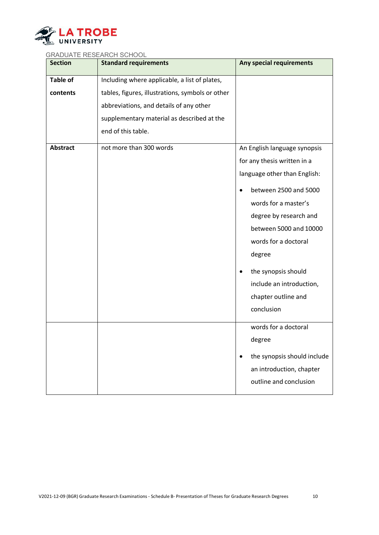

| <b>Section</b>  | <b>Standard requirements</b>                     | Any special requirements                 |
|-----------------|--------------------------------------------------|------------------------------------------|
| <b>Table of</b> | Including where applicable, a list of plates,    |                                          |
| contents        | tables, figures, illustrations, symbols or other |                                          |
|                 | abbreviations, and details of any other          |                                          |
|                 | supplementary material as described at the       |                                          |
|                 | end of this table.                               |                                          |
| <b>Abstract</b> | not more than 300 words                          | An English language synopsis             |
|                 |                                                  | for any thesis written in a              |
|                 |                                                  | language other than English:             |
|                 |                                                  | between 2500 and 5000                    |
|                 |                                                  | words for a master's                     |
|                 |                                                  | degree by research and                   |
|                 |                                                  | between 5000 and 10000                   |
|                 |                                                  | words for a doctoral                     |
|                 |                                                  | degree                                   |
|                 |                                                  | the synopsis should                      |
|                 |                                                  | include an introduction,                 |
|                 |                                                  | chapter outline and                      |
|                 |                                                  | conclusion                               |
|                 |                                                  | words for a doctoral                     |
|                 |                                                  | degree                                   |
|                 |                                                  | the synopsis should include<br>$\bullet$ |
|                 |                                                  | an introduction, chapter                 |
|                 |                                                  | outline and conclusion                   |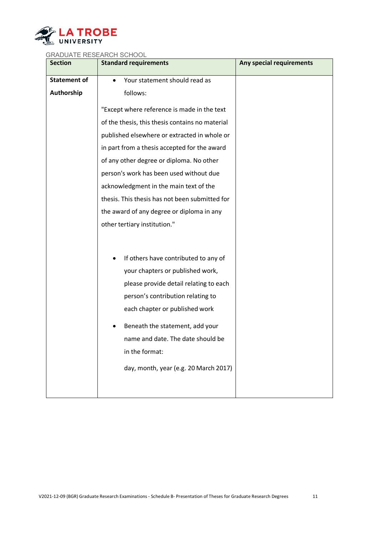

| <b>Section</b>      | <b>Standard requirements</b>                    | Any special requirements |
|---------------------|-------------------------------------------------|--------------------------|
| <b>Statement of</b> | Your statement should read as                   |                          |
| Authorship          | follows:                                        |                          |
|                     | "Except where reference is made in the text     |                          |
|                     | of the thesis, this thesis contains no material |                          |
|                     | published elsewhere or extracted in whole or    |                          |
|                     | in part from a thesis accepted for the award    |                          |
|                     | of any other degree or diploma. No other        |                          |
|                     | person's work has been used without due         |                          |
|                     | acknowledgment in the main text of the          |                          |
|                     | thesis. This thesis has not been submitted for  |                          |
|                     | the award of any degree or diploma in any       |                          |
|                     | other tertiary institution."                    |                          |
|                     |                                                 |                          |
|                     | If others have contributed to any of            |                          |
|                     | ٠<br>your chapters or published work,           |                          |
|                     | please provide detail relating to each          |                          |
|                     | person's contribution relating to               |                          |
|                     |                                                 |                          |
|                     | each chapter or published work                  |                          |
|                     | Beneath the statement, add your                 |                          |
|                     | name and date. The date should be               |                          |
|                     | in the format:                                  |                          |
|                     | day, month, year (e.g. 20 March 2017)           |                          |
|                     |                                                 |                          |
|                     |                                                 |                          |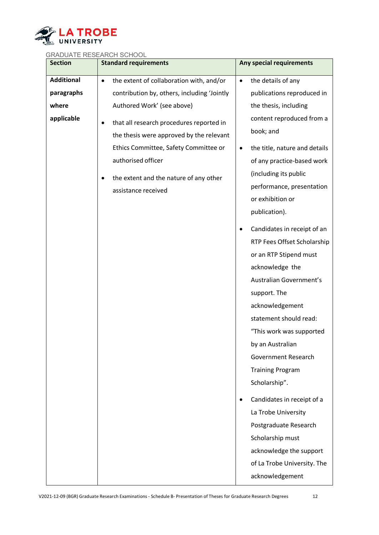

| <b>Section</b>    | <b>Standard requirements</b>                          | Any special requirements        |
|-------------------|-------------------------------------------------------|---------------------------------|
| <b>Additional</b> | the extent of collaboration with, and/or<br>$\bullet$ | the details of any<br>$\bullet$ |
| paragraphs        | contribution by, others, including 'Jointly           | publications reproduced in      |
| where             | Authored Work' (see above)                            | the thesis, including           |
| applicable        | that all research procedures reported in<br>$\bullet$ | content reproduced from a       |
|                   | the thesis were approved by the relevant              | book; and                       |
|                   | Ethics Committee, Safety Committee or                 | the title, nature and details   |
|                   | authorised officer                                    | of any practice-based work      |
|                   | the extent and the nature of any other                | (including its public           |
|                   | assistance received                                   | performance, presentation       |
|                   |                                                       | or exhibition or                |
|                   |                                                       | publication).                   |
|                   |                                                       | Candidates in receipt of an     |
|                   |                                                       | RTP Fees Offset Scholarship     |
|                   |                                                       | or an RTP Stipend must          |
|                   |                                                       | acknowledge the                 |
|                   |                                                       | Australian Government's         |
|                   |                                                       | support. The                    |
|                   |                                                       | acknowledgement                 |
|                   |                                                       | statement should read:          |
|                   |                                                       | "This work was supported        |
|                   |                                                       | by an Australian                |
|                   |                                                       | <b>Government Research</b>      |
|                   |                                                       | <b>Training Program</b>         |
|                   |                                                       | Scholarship".                   |
|                   |                                                       | Candidates in receipt of a<br>٠ |
|                   |                                                       | La Trobe University             |
|                   |                                                       | Postgraduate Research           |
|                   |                                                       | Scholarship must                |
|                   |                                                       | acknowledge the support         |
|                   |                                                       | of La Trobe University. The     |
|                   |                                                       | acknowledgement                 |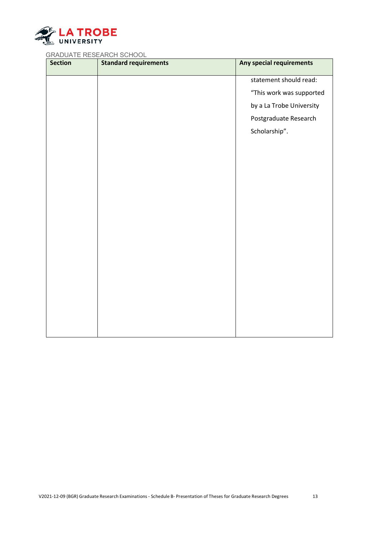

| <b>Section</b> | <b>Standard requirements</b> | Any special requirements |
|----------------|------------------------------|--------------------------|
|                |                              | statement should read:   |
|                |                              | "This work was supported |
|                |                              | by a La Trobe University |
|                |                              | Postgraduate Research    |
|                |                              | Scholarship".            |
|                |                              |                          |
|                |                              |                          |
|                |                              |                          |
|                |                              |                          |
|                |                              |                          |
|                |                              |                          |
|                |                              |                          |
|                |                              |                          |
|                |                              |                          |
|                |                              |                          |
|                |                              |                          |
|                |                              |                          |
|                |                              |                          |
|                |                              |                          |
|                |                              |                          |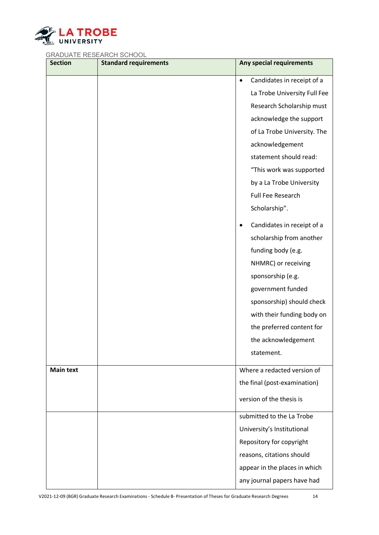

| <b>Section</b>   | <b>Standard requirements</b> | Any special requirements                |
|------------------|------------------------------|-----------------------------------------|
|                  |                              | Candidates in receipt of a<br>$\bullet$ |
|                  |                              | La Trobe University Full Fee            |
|                  |                              | Research Scholarship must               |
|                  |                              | acknowledge the support                 |
|                  |                              | of La Trobe University. The             |
|                  |                              | acknowledgement                         |
|                  |                              | statement should read:                  |
|                  |                              | "This work was supported                |
|                  |                              | by a La Trobe University                |
|                  |                              | Full Fee Research                       |
|                  |                              | Scholarship".                           |
|                  |                              | Candidates in receipt of a<br>$\bullet$ |
|                  |                              | scholarship from another                |
|                  |                              | funding body (e.g.                      |
|                  |                              | NHMRC) or receiving                     |
|                  |                              | sponsorship (e.g.                       |
|                  |                              | government funded                       |
|                  |                              | sponsorship) should check               |
|                  |                              | with their funding body on              |
|                  |                              | the preferred content for               |
|                  |                              | the acknowledgement                     |
|                  |                              | statement.                              |
| <b>Main text</b> |                              | Where a redacted version of             |
|                  |                              | the final (post-examination)            |
|                  |                              | version of the thesis is                |
|                  |                              | submitted to the La Trobe               |
|                  |                              | University's Institutional              |
|                  |                              | Repository for copyright                |
|                  |                              | reasons, citations should               |
|                  |                              | appear in the places in which           |
|                  |                              | any journal papers have had             |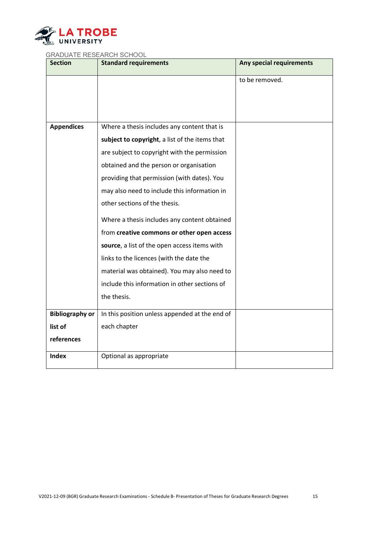

| <b>Section</b>         | <b>Standard requirements</b>                   | Any special requirements |
|------------------------|------------------------------------------------|--------------------------|
|                        |                                                | to be removed.           |
|                        |                                                |                          |
|                        |                                                |                          |
|                        |                                                |                          |
| <b>Appendices</b>      | Where a thesis includes any content that is    |                          |
|                        | subject to copyright, a list of the items that |                          |
|                        | are subject to copyright with the permission   |                          |
|                        | obtained and the person or organisation        |                          |
|                        | providing that permission (with dates). You    |                          |
|                        | may also need to include this information in   |                          |
|                        | other sections of the thesis.                  |                          |
|                        | Where a thesis includes any content obtained   |                          |
|                        | from creative commons or other open access     |                          |
|                        | source, a list of the open access items with   |                          |
|                        | links to the licences (with the date the       |                          |
|                        | material was obtained). You may also need to   |                          |
|                        | include this information in other sections of  |                          |
|                        | the thesis.                                    |                          |
| <b>Bibliography or</b> | In this position unless appended at the end of |                          |
| list of                | each chapter                                   |                          |
| references             |                                                |                          |
| <b>Index</b>           | Optional as appropriate                        |                          |
|                        |                                                |                          |